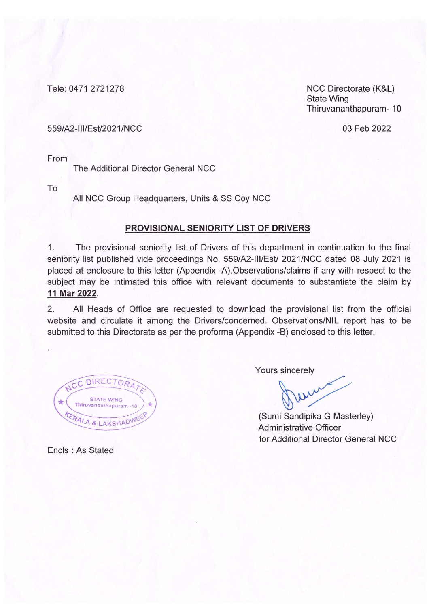Tele: 0471 2721278

NCC Directorate (K&L) **State Wing** Thiruvananthapuram-10

#### 559/A2-III/Est/2021/NCC

03 Feb 2022

From

The Additional Director General NCC

To

All NCC Group Headquarters, Units & SS Coy NCC

### PROVISIONAL SENIORITY LIST OF DRIVERS

 $1.$ The provisional seniority list of Drivers of this department in continuation to the final seniority list published vide proceedings No. 559/A2-III/Est/ 2021/NCC dated 08 July 2021 is placed at enclosure to this letter (Appendix -A). Observations/claims if any with respect to the subject may be intimated this office with relevant documents to substantiate the claim by 11 Mar 2022.

 $2.$ All Heads of Office are requested to download the provisional list from the official website and circulate it among the Drivers/concerned. Observations/NIL report has to be submitted to this Directorate as per the proforma (Appendix -B) enclosed to this letter.

C DIRECTOR **STATE WING** Thiruvananthapuram -10 ERALA & LAKSHADW

Yours sincerely

eur

(Sumi Sandipika G Masterley) Administrative Officer for Additional Director General NCC

Encls: As Stated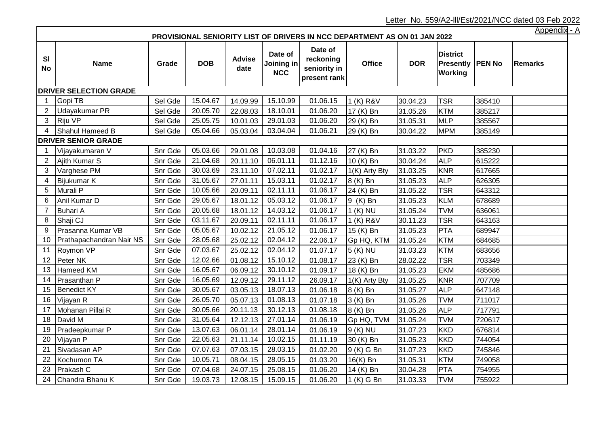Letter No. 559/A2-lll/Est/2021/NCC dated 03 Feb 2022

|                | <b>Appendix</b><br>PROVISIONAL SENIORITY LIST OF DRIVERS IN NCC DEPARTMENT AS ON 01 JAN 2022 |         |            |                       |                                     |                                                      |               |            |                                                         |        |                |  |  |
|----------------|----------------------------------------------------------------------------------------------|---------|------------|-----------------------|-------------------------------------|------------------------------------------------------|---------------|------------|---------------------------------------------------------|--------|----------------|--|--|
| SI<br>No       | <b>Name</b>                                                                                  | Grade   | <b>DOB</b> | <b>Advise</b><br>date | Date of<br>Joining in<br><b>NCC</b> | Date of<br>reckoning<br>seniority in<br>present rank | <b>Office</b> | <b>DOR</b> | <b>District</b><br><b>Presently   PEN No</b><br>Working |        | <b>Remarks</b> |  |  |
|                | <b>DRIVER SELECTION GRADE</b>                                                                |         |            |                       |                                     |                                                      |               |            |                                                         |        |                |  |  |
| -1             | Gopi TB                                                                                      | Sel Gde | 15.04.67   | 14.09.99              | 15.10.99                            | 01.06.15                                             | 1 (K) R&V     | 30.04.23   | <b>TSR</b>                                              | 385410 |                |  |  |
| 2              | Udayakumar PR                                                                                | Sel Gde | 20.05.70   | 22.08.03              | 18.10.01                            | 01.06.20                                             | 17 (K) Bn     | 31.05.26   | <b>KTM</b>                                              | 385217 |                |  |  |
| 3              | Riju VP                                                                                      | Sel Gde | 25.05.75   | 10.01.03              | 29.01.03                            | 01.06.20                                             | 29 (K) Bn     | 31.05.31   | <b>MLP</b>                                              | 385567 |                |  |  |
| 4              | Shahul Hameed B                                                                              | Sel Gde | 05.04.66   | 05.03.04              | 03.04.04                            | 01.06.21                                             | 29 (K) Bn     | 30.04.22   | <b>MPM</b>                                              | 385149 |                |  |  |
|                | <b>DRIVER SENIOR GRADE</b>                                                                   |         |            |                       |                                     |                                                      |               |            |                                                         |        |                |  |  |
| 1              | Vijayakumaran V                                                                              | Snr Gde | 05.03.66   | 29.01.08              | 10.03.08                            | 01.04.16                                             | 27 (K) Bn     | 31.03.22   | PKD                                                     | 385230 |                |  |  |
| 2              | Ajith Kumar S                                                                                | Snr Gde | 21.04.68   | 20.11.10              | 06.01.11                            | 01.12.16                                             | 10 (K) Bn     | 30.04.24   | <b>ALP</b>                                              | 615222 |                |  |  |
| 3              | Varghese PM                                                                                  | Snr Gde | 30.03.69   | 23.11.10              | 07.02.11                            | 01.02.17                                             | 1(K) Arty Bty | 31.03.25   | <b>KNR</b>                                              | 617665 |                |  |  |
| 4              | Bijukumar K                                                                                  | Snr Gde | 31.05.67   | 27.01.11              | 15.03.11                            | 01.02.17                                             | 8 (K) Bn      | 31.05.23   | <b>ALP</b>                                              | 626305 |                |  |  |
| 5              | Murali <sub>P</sub>                                                                          | Snr Gde | 10.05.66   | 20.09.11              | 02.11.11                            | 01.06.17                                             | 24 (K) Bn     | 31.05.22   | <b>TSR</b>                                              | 643312 |                |  |  |
| 6              | Anil Kumar D                                                                                 | Snr Gde | 29.05.67   | 18.01.12              | 05.03.12                            | 01.06.17                                             | 9 (K) Bn      | 31.05.23   | <b>KLM</b>                                              | 678689 |                |  |  |
| $\overline{7}$ | <b>Buhari A</b>                                                                              | Snr Gde | 20.05.68   | 18.01.12              | 14.03.12                            | 01.06.17                                             | $1(K)$ NU     | 31.05.24   | <b>TVM</b>                                              | 636061 |                |  |  |
| 8              | Shaji CJ                                                                                     | Snr Gde | 03.11.67   | 20.09.11              | 02.11.11                            | 01.06.17                                             | 1 (K) R&V     | 30.11.23   | <b>TSR</b>                                              | 643163 |                |  |  |
| 9              | Prasanna Kumar VB                                                                            | Snr Gde | 05.05.67   | 10.02.12              | 21.05.12                            | 01.06.17                                             | 15 (K) Bn     | 31.05.23   | <b>PTA</b>                                              | 689947 |                |  |  |
| 10             | Prathapachandran Nair NS                                                                     | Snr Gde | 28.05.68   | 25.02.12              | 02.04.12                            | 22.06.17                                             | Gp HQ, KTM    | 31.05.24   | <b>KTM</b>                                              | 684685 |                |  |  |
| 11             | Roymon VP                                                                                    | Snr Gde | 07.03.67   | 25.02.12              | 02.04.12                            | 01.07.17                                             | 5 (K) NU      | 31.03.23   | <b>KTM</b>                                              | 683656 |                |  |  |
| 12             | Peter NK                                                                                     | Snr Gde | 12.02.66   | 01.08.12              | 15.10.12                            | 01.08.17                                             | 23 (K) Bn     | 28.02.22   | <b>TSR</b>                                              | 703349 |                |  |  |
| 13             | <b>Hameed KM</b>                                                                             | Snr Gde | 16.05.67   | 06.09.12              | 30.10.12                            | 01.09.17                                             | 18 (K) Bn     | 31.05.23   | EKM                                                     | 485686 |                |  |  |
| 14             | Prasanthan P                                                                                 | Snr Gde | 16.05.69   | 12.09.12              | 29.11.12                            | 26.09.17                                             | 1(K) Arty Bty | 31.05.25   | <b>KNR</b>                                              | 707709 |                |  |  |
| 15             | <b>Benedict KY</b>                                                                           | Snr Gde | 30.05.67   | 03.05.13              | 18.07.13                            | 01.06.18                                             | 8 (K) Bn      | 31.05.27   | <b>ALP</b>                                              | 647148 |                |  |  |
| 16             | Vijayan R                                                                                    | Snr Gde | 26.05.70   | 05.07.13              | 01.08.13                            | 01.07.18                                             | 3 (K) Bn      | 31.05.26   | <b>TVM</b>                                              | 711017 |                |  |  |
| 17             | Mohanan Pillai R                                                                             | Snr Gde | 30.05.66   | 20.11.13              | 30.12.13                            | 01.08.18                                             | 8 (K) Bn      | 31.05.26   | <b>ALP</b>                                              | 717791 |                |  |  |
| 18             | David M                                                                                      | Snr Gde | 31.05.64   | 12.12.13              | 27.01.14                            | 01.06.19                                             | Gp HQ, TVM    | 31.05.24   | <b>TVM</b>                                              | 720617 |                |  |  |
| 19             | Pradeepkumar P                                                                               | Snr Gde | 13.07.63   | 06.01.14              | 28.01.14                            | 01.06.19                                             | 9 (K) NU      | 31.07.23   | <b>KKD</b>                                              | 676814 |                |  |  |
| 20             | Vijayan P                                                                                    | Snr Gde | 22.05.63   | 21.11.14              | 10.02.15                            | 01.11.19                                             | 30 (K) Bn     | 31.05.23   | <b>KKD</b>                                              | 744054 |                |  |  |
| 21             | Sivadasan AP                                                                                 | Snr Gde | 07.07.63   | 07.03.15              | 28.03.15                            | 01.02.20                                             | $9(K)$ G Bn   | 31.07.23   | <b>KKD</b>                                              | 745846 |                |  |  |
| 22             | Kochumon TA                                                                                  | Snr Gde | 10.05.71   | 08.04.15              | 28.05.15                            | 01.03.20                                             | 16(K) Bn      | 31.05.31   | <b>KTM</b>                                              | 749058 |                |  |  |
| 23             | Prakash C                                                                                    | Snr Gde | 07.04.68   | 24.07.15              | 25.08.15                            | 01.06.20                                             | 14 (K) Bn     | 30.04.28   | <b>PTA</b>                                              | 754955 |                |  |  |
| 24             | Chandra Bhanu K                                                                              | Snr Gde | 19.03.73   |                       | $12.08.15$   15.09.15               | 01.06.20                                             | $1(K)$ G Bn   | 31.03.33   | <b>TVM</b>                                              | 755922 |                |  |  |

Appendix - A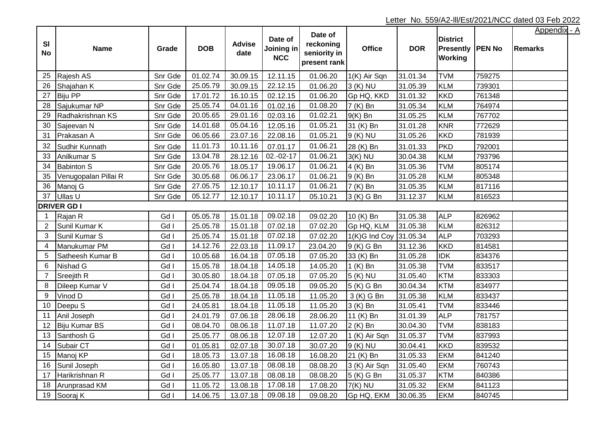|                |                      |         |            |                       |                                     | Date of                                   |                        |            |                                                         |        | <u>Appendix - A</u> |
|----------------|----------------------|---------|------------|-----------------------|-------------------------------------|-------------------------------------------|------------------------|------------|---------------------------------------------------------|--------|---------------------|
| SI<br>No       | <b>Name</b>          | Grade   | <b>DOB</b> | <b>Advise</b><br>date | Date of<br>Joining in<br><b>NCC</b> | reckoning<br>seniority in<br>present rank | <b>Office</b>          | <b>DOR</b> | <b>District</b><br>Presently   PEN No<br><b>Working</b> |        | <b>Remarks</b>      |
| 25             | Rajesh AS            | Snr Gde | 01.02.74   | 30.09.15              | 12.11.15                            | 01.06.20                                  | 1(K) Air Sqn           | 31.01.34   | <b>TVM</b>                                              | 759275 |                     |
| 26             | Shajahan K           | Snr Gde | 25.05.79   | 30.09.15              | 22.12.15                            | 01.06.20                                  | 3 (K) NU               | 31.05.39   | <b>KLM</b>                                              | 739301 |                     |
| 27             | <b>Biju PP</b>       | Snr Gde | 17.01.72   | 16.10.15              | 02.12.15                            | 01.06.20                                  | Gp HQ, KKD             | 31.01.32   | KKD                                                     | 761348 |                     |
| 28             | Sajukumar NP         | Snr Gde | 25.05.74   | 04.01.16              | 01.02.16                            | 01.08.20                                  | 7 (K) Bn               | 31.05.34   | KLM                                                     | 764974 |                     |
| 29             | Radhakrishnan KS     | Snr Gde | 20.05.65   | 29.01.16              | 02.03.16                            | 01.02.21                                  | $9(K)$ Bn              | 31.05.25   | KLM                                                     | 767702 |                     |
| 30             | Sajeevan N           | Snr Gde | 14.01.68   | 05.04.16              | 12.05.16                            | 01.05.21                                  | 31 (K) Bn              | 31.01.28   | KNR                                                     | 772629 |                     |
| 31             | Prakasan A           | Snr Gde | 06.05.66   | 23.07.16              | 22.08.16                            | 01.05.21                                  | 9 (K) NU               | 31.05.26   | KKD                                                     | 781939 |                     |
| 32             | Sudhir Kunnath       | Snr Gde | 11.01.73   | 10.11.16              | 07.01.17                            | 01.06.21                                  | 28 (K) Bn              | 31.01.33   | <b>PKD</b>                                              | 792001 |                     |
| 33             | Anilkumar S          | Snr Gde | 13.04.78   | 28.12.16              | $02.-02-17$                         | 01.06.21                                  | $3(K)$ NU              | 30.04.38   | <b>KLM</b>                                              | 793796 |                     |
| 34             | <b>Babinton S</b>    | Snr Gde | 20.05.76   | 18.05.17              | 19.06.17                            | 01.06.21                                  | 4 (K) Bn               | 31.05.36   | <b>TVM</b>                                              | 805174 |                     |
| 35             | Venugopalan Pillai R | Snr Gde | 30.05.68   | 06.06.17              | 23.06.17                            | 01.06.21                                  | 9 (K) Bn               | 31.05.28   | KLM                                                     | 805348 |                     |
| 36             | Manoj G              | Snr Gde | 27.05.75   | 12.10.17              | 10.11.17                            | 01.06.21                                  | 7 (K) Bn               | 31.05.35   | KLM                                                     | 817116 |                     |
| 37             | Ullas U              | Snr Gde | 05.12.77   | 12.10.17              | 10.11.17                            | 05.10.21                                  | 3 (K) G Bn             | 31.12.37   | KLM                                                     | 816523 |                     |
|                | <b>DRIVER GD I</b>   |         |            |                       |                                     |                                           |                        |            |                                                         |        |                     |
| $\mathbf{1}$   | Rajan R              | Gd I    | 05.05.78   | 15.01.18              | 09.02.18                            | 09.02.20                                  | 10 (K) Bn              | 31.05.38   | <b>ALP</b>                                              | 826962 |                     |
| $\overline{2}$ | Sunil Kumar K        | Gd I    | 25.05.78   | 15.01.18              | 07.02.18                            | 07.02.20                                  | Gp HQ, KLM             | 31.05.38   | KLM                                                     | 826312 |                     |
| 3              | Sunil Kumar S        | Gd I    | 25.05.74   | 15.01.18              | 07.02.18                            | 07.02.20                                  | 1(K)G Ind Coy 31.05.34 |            | <b>ALP</b>                                              | 703293 |                     |
| 4              | Manukumar PM         | Gd I    | 14.12.76   | 22.03.18              | 11.09.17                            | 23.04.20                                  | 9 (K) G Bn             | 31.12.36   | KKD                                                     | 814581 |                     |
| 5              | Satheesh Kumar B     | Gd I    | 10.05.68   | 16.04.18              | 07.05.18                            | 07.05.20                                  | 33 (K) Bn              | 31.05.28   | <b>IDK</b>                                              | 834376 |                     |
| 6              | Nishad G             | Gd I    | 15.05.78   | 18.04.18              | 14.05.18                            | 14.05.20                                  | 1 (K) Bn               | 31.05.38   | <b>TVM</b>                                              | 833517 |                     |
| $\overline{7}$ | <b>Sreejith R</b>    | Gd I    | 30.05.80   | 18.04.18              | 07.05.18                            | 07.05.20                                  | 5 (K) NU               | 31.05.40   | KTM                                                     | 833303 |                     |
| 8              | Dileep Kumar V       | Gd I    | 25.04.74   | 18.04.18              | 09.05.18                            | 09.05.20                                  | 5 (K) G Bn             | 30.04.34   | KTM                                                     | 834977 |                     |
| 9              | Vinod D              | Gd I    | 25.05.78   | 18.04.18              | 11.05.18                            | 11.05.20                                  | 3 (K) G Bn             | 31.05.38   | <b>KLM</b>                                              | 833437 |                     |
| 10             | Deepu S              | Gd I    | 24.05.81   | 18.04.18              | 11.05.18                            | 11.05.20                                  | 3 (K) Bn               | 31.05.41   | <b>TVM</b>                                              | 833446 |                     |
| 11             | Anil Joseph          | Gd I    | 24.01.79   | 07.06.18              | 28.06.18                            | 28.06.20                                  | 11 (K) Bn              | 31.01.39   | <b>ALP</b>                                              | 781757 |                     |
| 12             | Biju Kumar BS        | Gd I    | 08.04.70   | 08.06.18              | 11.07.18                            | 11.07.20                                  | 2 (K) Bn               | 30.04.30   | <b>TVM</b>                                              | 838183 |                     |
| 13             | Santhosh G           | Gd I    | 25.05.77   | 08.06.18              | 12.07.18                            | 12.07.20                                  | 1 (K) Air Sqn          | 31.05.37   | <b>TVM</b>                                              | 837993 |                     |
| 14             | Subair CT            | Gd I    | 01.05.81   | 02.07.18              | 30.07.18                            | 30.07.20                                  | 9 (K) NU               | 30.04.41   | <b>KKD</b>                                              | 839532 |                     |
| 15             | Manoj KP             | Gd I    | 18.05.73   | 13.07.18              | 16.08.18                            | 16.08.20                                  | 21 (K) Bn              | 31.05.33   | <b>EKM</b>                                              | 841240 |                     |
| 16             | Sunil Joseph         | Gd I    | 16.05.80   | 13.07.18              | 08.08.18                            | 08.08.20                                  | 3 (K) Air Sqn          | 31.05.40   | <b>EKM</b>                                              | 760743 |                     |
| 17             | Harikrishnan R       | Gd I    | 25.05.77   | 13.07.18              | 08.08.18                            | 08.08.20                                  | 5 (K) G Bn             | 31.05.37   | <b>KTM</b>                                              | 840386 |                     |
| 18             | Arunprasad KM        | Gd I    | 11.05.72   | 13.08.18              | 17.08.18                            | 17.08.20                                  | 7(K) NU                | 31.05.32   | <b>EKM</b>                                              | 841123 |                     |
| 19             | Sooraj K             | Gd I    | 14.06.75   | 13.07.18              | 09.08.18                            | 09.08.20                                  | Gp HQ, EKM             | 30.06.35   | <b>EKM</b>                                              | 840745 |                     |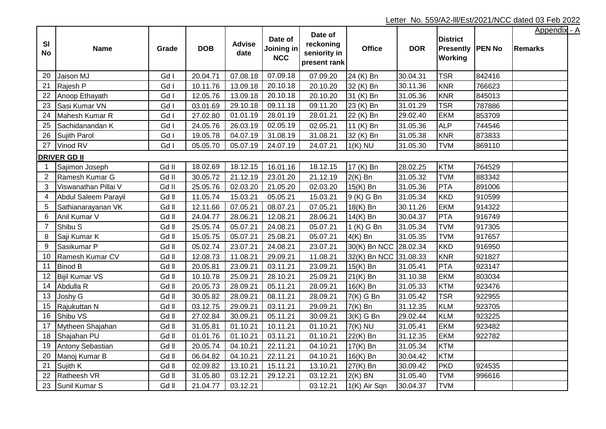| SI<br><b>No</b> | <b>Name</b>           | Grade | <b>DOB</b> | <b>Advise</b><br>date | Date of<br>Joining in<br><b>NCC</b> | Date of<br>reckoning<br>seniority in<br>present rank | <b>Office</b>         | <b>DOR</b> | <b>District</b><br><b>Presently PEN No</b><br><b>Working</b> |        | <b>Appendix - A</b><br><b>Remarks</b> |
|-----------------|-----------------------|-------|------------|-----------------------|-------------------------------------|------------------------------------------------------|-----------------------|------------|--------------------------------------------------------------|--------|---------------------------------------|
| 20              | Jaison MJ             | Gd I  | 20.04.71   | 07.08.18              | 07.09.18                            | 07.09.20                                             | 24 (K) Bn             | 30.04.31   | <b>TSR</b>                                                   | 842416 |                                       |
| 21              | Rajesh P              | Gd I  | 10.11.76   | 13.09.18              | 20.10.18                            | 20.10.20                                             | 32 (K) Bn             | 30.11.36   | KNR                                                          | 766623 |                                       |
| 22              | Anoop Ethayath        | Gd I  | 12.05.76   | 13.09.18              | 20.10.18                            | 20.10.20                                             | 31 (K) Bn             | 31.05.36   | KNR                                                          | 845013 |                                       |
| 23              | Sasi Kumar VN         | Gd I  | 03.01.69   | 29.10.18              | 09.11.18                            | 09.11.20                                             | 23 (K) Bn             | 31.01.29   | <b>TSR</b>                                                   | 787886 |                                       |
| 24              | Mahesh Kumar R        | Gd I  | 27.02.80   | 01.01.19              | 28.01.19                            | 28.01.21                                             | 22 (K) Bn             | 29.02.40   | <b>EKM</b>                                                   | 853709 |                                       |
| 25              | Sachidanandan K       | Gd I  | 24.05.76   | 26.03.19              | 02.05.19                            | 02.05.21                                             | 11 (K) Bn             | 31.05.36   | <b>ALP</b>                                                   | 744546 |                                       |
| 26              | Sujith Parol          | Gd I  | 19.05.78   | 04.07.19              | 31.08.19                            | 31.08.21                                             | 32 (K) Bn             | 31.05.38   | <b>KNR</b>                                                   | 873833 |                                       |
| 27              | Vinod RV              | Gd I  | 05.05.70   | 05.07.19              | 24.07.19                            | 24.07.21                                             | $1(K)$ NU             | 31.05.30   | <b>TVM</b>                                                   | 869110 |                                       |
|                 | <b>DRIVER GD II</b>   |       |            |                       |                                     |                                                      |                       |            |                                                              |        |                                       |
|                 | Sajimon Joseph        | Gd II | 18.02.69   | 18.12.15              | 16.01.16                            | 18.12.15                                             | 17 (K) Bn             | 28.02.25   | KTM                                                          | 764529 |                                       |
| $\overline{2}$  | Ramesh Kumar G        | Gd II | 30.05.72   | 21.12.19              | 23.01.20                            | 21.12.19                                             | $2(K)$ Bn             | 31.05.32   | <b>TVM</b>                                                   | 883342 |                                       |
| 3               | Viswanathan Pillai V  | Gd II | 25.05.76   | 02.03.20              | 21.05.20                            | 02.03.20                                             | 15(K) Bn              | 31.05.36   | PTA                                                          | 891006 |                                       |
| 4               | Abdul Saleem Parayil  | Gd II | 11.05.74   | 15.03.21              | 05.05.21                            | 15.03.21                                             | 9 (K) G Bn            | 31.05.34   | <b>KKD</b>                                                   | 910599 |                                       |
| 5               | Sathianarayanan VK    | Gd II | 12.11.66   | 07.05.21              | 08.07.21                            | 07.05.21                                             | 18(K) Bn              | 30.11.26   | <b>EKM</b>                                                   | 914322 |                                       |
| 6               | Anil Kumar V          | Gd II | 24.04.77   | 28.06.21              | 12.08.21                            | 28.06.21                                             | 14(K) Bn              | 30.04.37   | PTA                                                          | 916749 |                                       |
| $\overline{7}$  | Shibu S               | Gd II | 25.05.74   | 05.07.21              | 24.08.21                            | 05.07.21                                             | 1 (K) G Bn            | 31.05.34   | <b>TVM</b>                                                   | 917305 |                                       |
| 8               | Saji Kumar K          | Gd II | 15.05.75   | 05.07.21              | 25.08.21                            | 05.07.21                                             | $4(K)$ Bn             | 31.05.35   | <b>TVM</b>                                                   | 917657 |                                       |
| $9\,$           | Sasikumar P           | Gd II | 05.02.74   | 23.07.21              | 24.08.21                            | 23.07.21                                             | 30(K) Bn NCC 28.02.34 |            | KKD                                                          | 916950 |                                       |
| 10              | Ramesh Kumar CV       | Gd II | 12.08.73   | 11.08.21              | 29.09.21                            | 11.08.21                                             | 32(K) Bn NCC 31.08.33 |            | KNR                                                          | 921827 |                                       |
| 11              | <b>Binod B</b>        | Gd II | 20.05.81   | 23.09.21              | 03.11.21                            | 23.09.21                                             | 15(K) Bn              | 31.05.41   | <b>PTA</b>                                                   | 923147 |                                       |
| 12              | <b>Bijil Kumar VS</b> | Gd II | 10.10.78   | 25.09.21              | 28.10.21                            | 25.09.21                                             | $21(K)$ Bn            | 31.10.38   | <b>EKM</b>                                                   | 803034 |                                       |
| 14              | Abdulla R             | Gd II | 20.05.73   | 28.09.21              | 05.11.21                            | 28.09.21                                             | $16(K)$ Bn            | 31.05.33   | <b>KTM</b>                                                   | 923476 |                                       |
| 13              | Joshy G               | Gd II | 30.05.82   | 28.09.21              | 08.11.21                            | 28.09.21                                             | $7(K)$ G Bn           | 31.05.42   | <b>TSR</b>                                                   | 922955 |                                       |
| 15              | Rajukuttan N          | Gd II | 03.12.75   | 29.09.21              | 03.11.21                            | 29.09.21                                             | $7(K)$ Bn             | 31.12.35   | <b>KLM</b>                                                   | 923705 |                                       |
| 16              | Shibu VS              | Gd II | 27.02.84   | 30.09.21              | 05.11.21                            | 30.09.21                                             | $3(K)$ G Bn           | 29.02.44   | <b>KLM</b>                                                   | 923225 |                                       |
| 17              | Mytheen Shajahan      | Gd II | 31.05.81   | 01.10.21              | 10.11.21                            | 01.10.21                                             | $7(K)$ NU             | 31.05.41   | <b>EKM</b>                                                   | 923482 |                                       |
| 18              | Shajahan PU           | Gd II | 01.01.76   | 01.10.21              | 03.11.21                            | 01.10.21                                             | 22(K) Bn              | 31.12.35   | <b>EKM</b>                                                   | 922782 |                                       |
| 19              | Antony Sebastian      | Gd II | 20.05.74   | 04.10.21              | 22.11.21                            | 04.10.21                                             | 17(K) Bn              | 31.05.34   | <b>KTM</b>                                                   |        |                                       |
| 20              | Manoj Kumar B         | Gd II | 06.04.82   | 04.10.21              | 22.11.21                            | 04.10.21                                             | 16(K) Bn              | 30.04.42   | KTM                                                          |        |                                       |
| 21              | Sujith K              | Gd II | 02.09.82   | 13.10.21              | 15.11.21                            | 13.10.21                                             | 27(K) Bn              | 30.09.42   | PKD                                                          | 924535 |                                       |
| 22              | Ratheesh VR           | Gd II | 31.05.80   | 03.12.21              | 29.12.21                            | 03.12.21                                             | $2(K)$ BN             | 31.05.40   | <b>TVM</b>                                                   | 996616 |                                       |
| 23              | Sunil Kumar S         | Gd II | 21.04.77   | 03.12.21              |                                     | 03.12.21                                             | 1(K) Air Sqn          | 30.04.37   | <b>TVM</b>                                                   |        |                                       |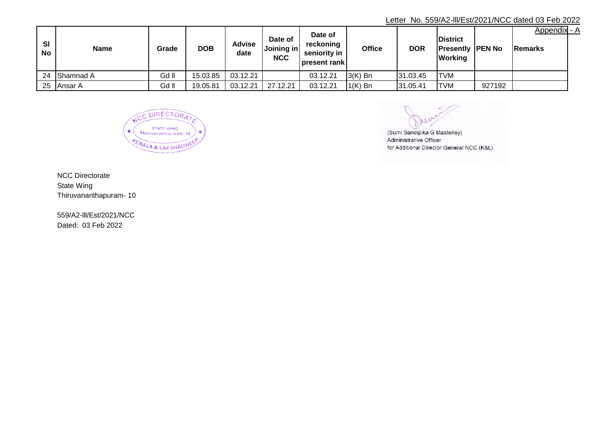# Letter No. 559/A2-lll/Est/2021/NCC dated 03 Feb 2022

| <b>SI</b><br>No | <b>Name</b>     | Grade | <b>DOB</b> | Advise<br>date | Date of<br>Joining in<br><b>NCC</b> | Date of<br>reckoning<br>seniority in<br> present rank | Office                       | <b>DOR</b> | <b>District</b><br><b>Presently PEN No</b><br><b>Working</b> |        | Appendix - A<br><b>IRemarks</b> |  |
|-----------------|-----------------|-------|------------|----------------|-------------------------------------|-------------------------------------------------------|------------------------------|------------|--------------------------------------------------------------|--------|---------------------------------|--|
|                 | 24 Shamnad A    | Gd II | 15.03.85   | 03.12.21       |                                     | 03.12.21                                              | $\mathsf{I}3(\mathsf{K})$ Bn | 31.03.45   | <b>ITVM</b>                                                  |        |                                 |  |
| 25              | <b>IAnsar A</b> | Gd II | 19.05.81   | 03.12.21       | 27.12.21                            | 03.12.21                                              | $1(K)$ Bn                    | 31.05.41   | <b>TVM</b>                                                   | 927192 |                                 |  |

C DIRECTORA **STATE WING** Thiruvananthapuram -10 AERALA & LAKSHADW

(Sumi Sandipika G Masterley) Administrative Officer for Additional Director General NCC (K&L)

NCC Directorate State Wing Thiruvananthapuram- 10

Dated: 03 Feb 2022 559/A2-lll/Est/2021/NCC